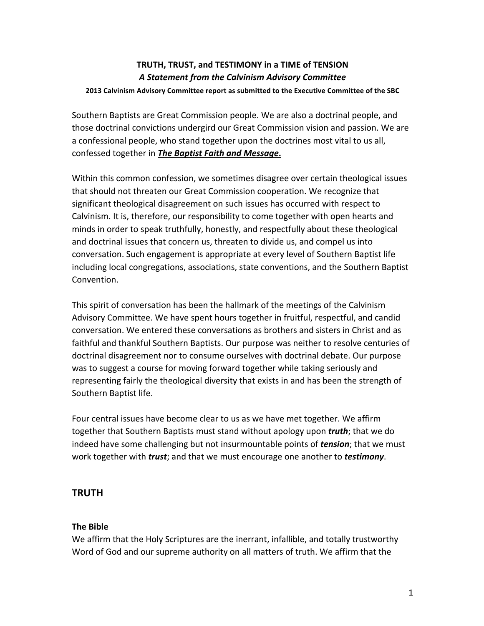# **TRUTH, TRUST, and TESTIMONY in a TIME of TENSION** *A Statement from the Calvinism Advisory Committee*

#### **2013 Calvinism Advisory Committee report as submitted to the Executive Committee of the SBC**

Southern Baptists are Great Commission people. We are also a doctrinal people, and those doctrinal convictions undergird our Great Commission vision and passion. We are a confessional people, who stand together upon the doctrines most vital to us all, confessed together in **The Baptist Faith and Message.** 

Within this common confession, we sometimes disagree over certain theological issues that should not threaten our Great Commission cooperation. We recognize that significant theological disagreement on such issues has occurred with respect to Calvinism. It is, therefore, our responsibility to come together with open hearts and minds in order to speak truthfully, honestly, and respectfully about these theological and doctrinal issues that concern us, threaten to divide us, and compel us into conversation. Such engagement is appropriate at every level of Southern Baptist life including local congregations, associations, state conventions, and the Southern Baptist Convention.

This spirit of conversation has been the hallmark of the meetings of the Calvinism Advisory Committee. We have spent hours together in fruitful, respectful, and candid conversation. We entered these conversations as brothers and sisters in Christ and as faithful and thankful Southern Baptists. Our purpose was neither to resolve centuries of doctrinal disagreement nor to consume ourselves with doctrinal debate. Our purpose was to suggest a course for moving forward together while taking seriously and representing fairly the theological diversity that exists in and has been the strength of Southern Baptist life.

Four central issues have become clear to us as we have met together. We affirm together that Southern Baptists must stand without apology upon *truth*; that we do indeed have some challenging but not insurmountable points of *tension*; that we must work together with *trust*; and that we must encourage one another to *testimony*.

# **TRUTH**

# **The Bible**

We affirm that the Holy Scriptures are the inerrant, infallible, and totally trustworthy Word of God and our supreme authority on all matters of truth. We affirm that the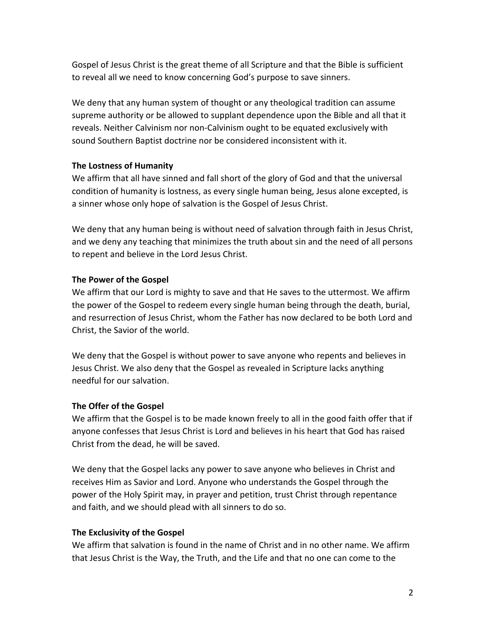Gospel of Jesus Christ is the great theme of all Scripture and that the Bible is sufficient to reveal all we need to know concerning God's purpose to save sinners.

We deny that any human system of thought or any theological tradition can assume supreme authority or be allowed to supplant dependence upon the Bible and all that it reveals. Neither Calvinism nor non-Calvinism ought to be equated exclusively with sound Southern Baptist doctrine nor be considered inconsistent with it.

#### **The Lostness of Humanity**

We affirm that all have sinned and fall short of the glory of God and that the universal condition of humanity is lostness, as every single human being, Jesus alone excepted, is a sinner whose only hope of salvation is the Gospel of Jesus Christ.

We deny that any human being is without need of salvation through faith in Jesus Christ, and we deny any teaching that minimizes the truth about sin and the need of all persons to repent and believe in the Lord Jesus Christ.

#### **The Power of the Gospel**

We affirm that our Lord is mighty to save and that He saves to the uttermost. We affirm the power of the Gospel to redeem every single human being through the death, burial, and resurrection of Jesus Christ, whom the Father has now declared to be both Lord and Christ, the Savior of the world.

We deny that the Gospel is without power to save anyone who repents and believes in Jesus Christ. We also deny that the Gospel as revealed in Scripture lacks anything needful for our salvation.

#### **The Offer of the Gospel**

We affirm that the Gospel is to be made known freely to all in the good faith offer that if anyone confesses that Jesus Christ is Lord and believes in his heart that God has raised Christ from the dead, he will be saved.

We deny that the Gospel lacks any power to save anyone who believes in Christ and receives Him as Savior and Lord. Anyone who understands the Gospel through the power of the Holy Spirit may, in prayer and petition, trust Christ through repentance and faith, and we should plead with all sinners to do so.

## **The Exclusivity of the Gospel**

We affirm that salvation is found in the name of Christ and in no other name. We affirm that Jesus Christ is the Way, the Truth, and the Life and that no one can come to the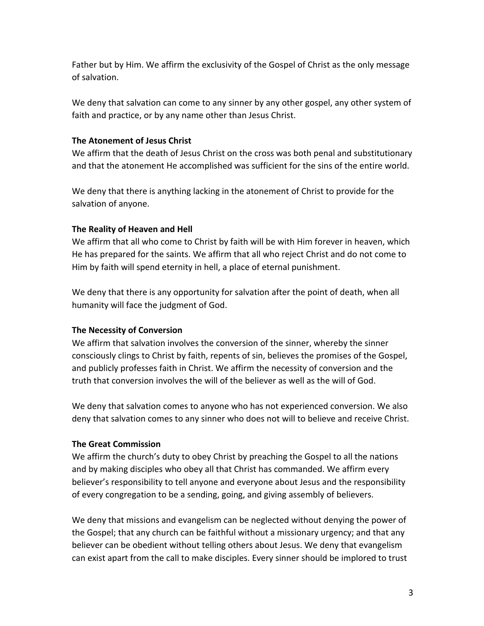Father but by Him. We affirm the exclusivity of the Gospel of Christ as the only message of salvation.

We deny that salvation can come to any sinner by any other gospel, any other system of faith and practice, or by any name other than Jesus Christ.

## **The Atonement of Jesus Christ**

We affirm that the death of Jesus Christ on the cross was both penal and substitutionary and that the atonement He accomplished was sufficient for the sins of the entire world.

We deny that there is anything lacking in the atonement of Christ to provide for the salvation of anyone.

#### **The Reality of Heaven and Hell**

We affirm that all who come to Christ by faith will be with Him forever in heaven, which He has prepared for the saints. We affirm that all who reject Christ and do not come to Him by faith will spend eternity in hell, a place of eternal punishment.

We deny that there is any opportunity for salvation after the point of death, when all humanity will face the judgment of God.

## **The Necessity of Conversion**

We affirm that salvation involves the conversion of the sinner, whereby the sinner consciously clings to Christ by faith, repents of sin, believes the promises of the Gospel, and publicly professes faith in Christ. We affirm the necessity of conversion and the truth that conversion involves the will of the believer as well as the will of God.

We deny that salvation comes to anyone who has not experienced conversion. We also deny that salvation comes to any sinner who does not will to believe and receive Christ.

#### **The Great Commission**

We affirm the church's duty to obey Christ by preaching the Gospel to all the nations and by making disciples who obey all that Christ has commanded. We affirm every believer's responsibility to tell anyone and everyone about Jesus and the responsibility of every congregation to be a sending, going, and giving assembly of believers.

We deny that missions and evangelism can be neglected without denying the power of the Gospel; that any church can be faithful without a missionary urgency; and that any believer can be obedient without telling others about Jesus. We deny that evangelism can exist apart from the call to make disciples. Every sinner should be implored to trust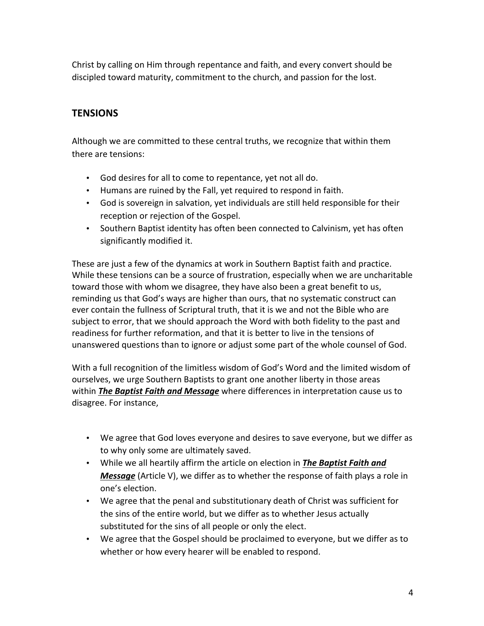Christ by calling on Him through repentance and faith, and every convert should be discipled toward maturity, commitment to the church, and passion for the lost.

# **TENSIONS**

Although we are committed to these central truths, we recognize that within them there are tensions:

- God desires for all to come to repentance, yet not all do.
- Humans are ruined by the Fall, yet required to respond in faith.
- God is sovereign in salvation, yet individuals are still held responsible for their reception or rejection of the Gospel.
- Southern Baptist identity has often been connected to Calvinism, yet has often significantly modified it.

These are just a few of the dynamics at work in Southern Baptist faith and practice. While these tensions can be a source of frustration, especially when we are uncharitable toward those with whom we disagree, they have also been a great benefit to us, reminding us that God's ways are higher than ours, that no systematic construct can ever contain the fullness of Scriptural truth, that it is we and not the Bible who are subject to error, that we should approach the Word with both fidelity to the past and readiness for further reformation, and that it is better to live in the tensions of unanswered questions than to ignore or adjust some part of the whole counsel of God.

With a full recognition of the limitless wisdom of God's Word and the limited wisdom of ourselves, we urge Southern Baptists to grant one another liberty in those areas within *The Baptist Faith and Message* where differences in interpretation cause us to disagree. For instance,

- We agree that God loves everyone and desires to save everyone, but we differ as to why only some are ultimately saved.
- While we all heartily affirm the article on election in The Baptist Faith and *Message* (Article V), we differ as to whether the response of faith plays a role in one's election.
- We agree that the penal and substitutionary death of Christ was sufficient for the sins of the entire world, but we differ as to whether Jesus actually substituted for the sins of all people or only the elect.
- We agree that the Gospel should be proclaimed to everyone, but we differ as to whether or how every hearer will be enabled to respond.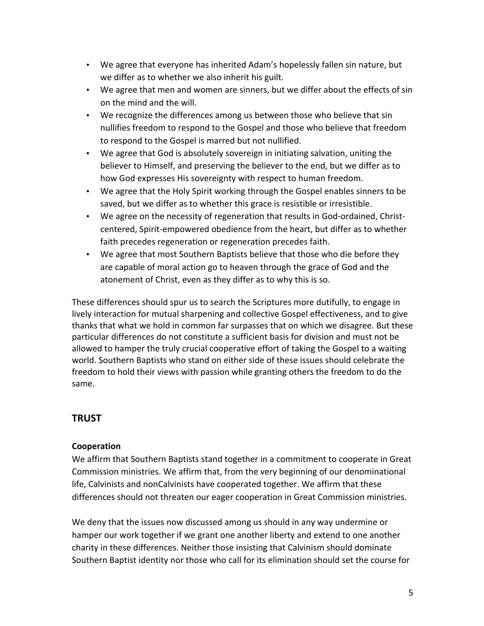- We agree that everyone has inherited Adam's hopelessly fallen sin nature, but we differ as to whether we also inherit his guilt.
- We agree that men and women are sinners, but we differ about the effects of sin on the mind and the will.
- We recognize the differences among us between those who believe that sin nullifies freedom to respond to the Gospel and those who believe that freedom to respond to the Gospel is marred but not nullified.
- We agree that God is absolutely sovereign in initiating salvation, uniting the believer to Himself, and preserving the believer to the end, but we differ as to how God expresses His sovereignty with respect to human freedom.
- We agree that the Holy Spirit working through the Gospel enables sinners to be saved, but we differ as to whether this grace is resistible or irresistible.
- We agree on the necessity of regeneration that results in God-ordained, Christcentered, Spirit-empowered obedience from the heart, but differ as to whether faith precedes regeneration or regeneration precedes faith.
- We agree that most Southern Baptists believe that those who die before they are capable of moral action go to heaven through the grace of God and the atonement of Christ, even as they differ as to why this is so.

These differences should spur us to search the Scriptures more dutifully, to engage in lively interaction for mutual sharpening and collective Gospel effectiveness, and to give thanks that what we hold in common far surpasses that on which we disagree. But these particular differences do not constitute a sufficient basis for division and must not be allowed to hamper the truly crucial cooperative effort of taking the Gospel to a waiting world. Southern Baptists who stand on either side of these issues should celebrate the freedom to hold their views with passion while granting others the freedom to do the same.

# **TRUST**

# **Cooperation**

We affirm that Southern Baptists stand together in a commitment to cooperate in Great Commission ministries. We affirm that, from the very beginning of our denominational life, Calvinists and nonCalvinists have cooperated together. We affirm that these differences should not threaten our eager cooperation in Great Commission ministries.

We deny that the issues now discussed among us should in any way undermine or hamper our work together if we grant one another liberty and extend to one another charity in these differences. Neither those insisting that Calvinism should dominate Southern Baptist identity nor those who call for its elimination should set the course for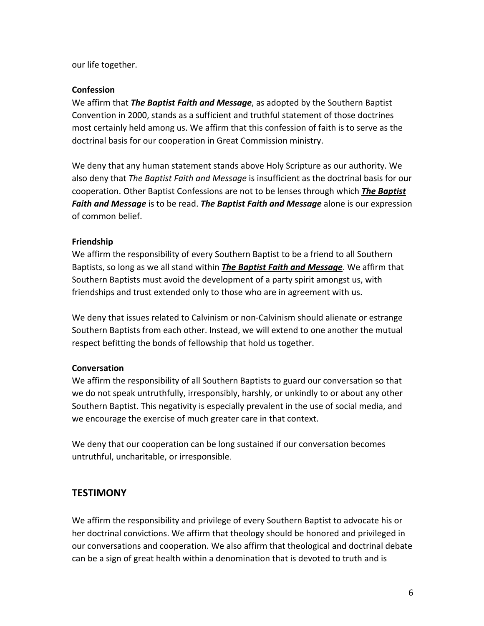our life together.

## **Confession**

We affirm that *The Baptist Faith and Message*, as adopted by the Southern Baptist Convention in 2000, stands as a sufficient and truthful statement of those doctrines most certainly held among us. We affirm that this confession of faith is to serve as the doctrinal basis for our cooperation in Great Commission ministry.

We deny that any human statement stands above Holy Scripture as our authority. We also deny that *The Baptist Faith and Message* is insufficient as the doctrinal basis for our cooperation. Other Baptist Confessions are not to be lenses through which *The Baptist* **Faith and Message** is to be read. *The Baptist Faith and Message* alone is our expression of common belief.

## **Friendship**

We affirm the responsibility of every Southern Baptist to be a friend to all Southern Baptists, so long as we all stand within *The Baptist Faith and Message*. We affirm that Southern Baptists must avoid the development of a party spirit amongst us, with friendships and trust extended only to those who are in agreement with us.

We deny that issues related to Calvinism or non-Calvinism should alienate or estrange Southern Baptists from each other. Instead, we will extend to one another the mutual respect befitting the bonds of fellowship that hold us together.

## **Conversation**

We affirm the responsibility of all Southern Baptists to guard our conversation so that we do not speak untruthfully, irresponsibly, harshly, or unkindly to or about any other Southern Baptist. This negativity is especially prevalent in the use of social media, and we encourage the exercise of much greater care in that context.

We deny that our cooperation can be long sustained if our conversation becomes untruthful, uncharitable, or irresponsible.

# **TESTIMONY**

We affirm the responsibility and privilege of every Southern Baptist to advocate his or her doctrinal convictions. We affirm that theology should be honored and privileged in our conversations and cooperation. We also affirm that theological and doctrinal debate can be a sign of great health within a denomination that is devoted to truth and is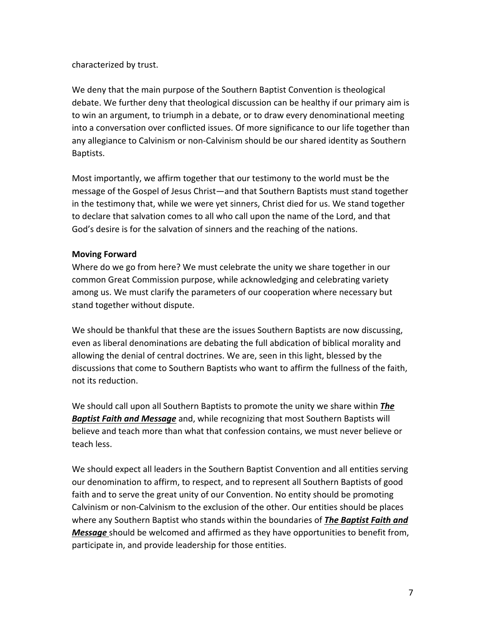characterized by trust.

We deny that the main purpose of the Southern Baptist Convention is theological debate. We further deny that theological discussion can be healthy if our primary aim is to win an argument, to triumph in a debate, or to draw every denominational meeting into a conversation over conflicted issues. Of more significance to our life together than any allegiance to Calvinism or non-Calvinism should be our shared identity as Southern Baptists.

Most importantly, we affirm together that our testimony to the world must be the message of the Gospel of Jesus Christ—and that Southern Baptists must stand together in the testimony that, while we were yet sinners, Christ died for us. We stand together to declare that salvation comes to all who call upon the name of the Lord, and that God's desire is for the salvation of sinners and the reaching of the nations.

## **Moving Forward**

Where do we go from here? We must celebrate the unity we share together in our common Great Commission purpose, while acknowledging and celebrating variety among us. We must clarify the parameters of our cooperation where necessary but stand together without dispute.

We should be thankful that these are the issues Southern Baptists are now discussing, even as liberal denominations are debating the full abdication of biblical morality and allowing the denial of central doctrines. We are, seen in this light, blessed by the discussions that come to Southern Baptists who want to affirm the fullness of the faith, not its reduction.

We should call upon all Southern Baptists to promote the unity we share within *The* **Baptist Faith and Message** and, while recognizing that most Southern Baptists will believe and teach more than what that confession contains, we must never believe or teach less.

We should expect all leaders in the Southern Baptist Convention and all entities serving our denomination to affirm, to respect, and to represent all Southern Baptists of good faith and to serve the great unity of our Convention. No entity should be promoting Calvinism or non-Calvinism to the exclusion of the other. Our entities should be places where any Southern Baptist who stands within the boundaries of **The Baptist Faith and** *Message* should be welcomed and affirmed as they have opportunities to benefit from, participate in, and provide leadership for those entities.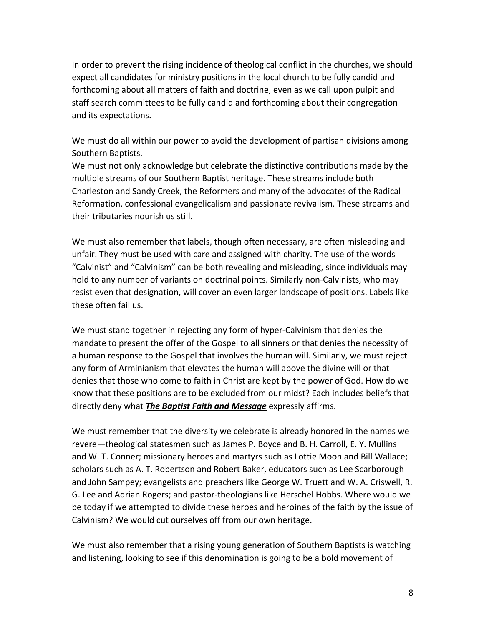In order to prevent the rising incidence of theological conflict in the churches, we should expect all candidates for ministry positions in the local church to be fully candid and forthcoming about all matters of faith and doctrine, even as we call upon pulpit and staff search committees to be fully candid and forthcoming about their congregation and its expectations.

We must do all within our power to avoid the development of partisan divisions among Southern Baptists.

We must not only acknowledge but celebrate the distinctive contributions made by the multiple streams of our Southern Baptist heritage. These streams include both Charleston and Sandy Creek, the Reformers and many of the advocates of the Radical Reformation, confessional evangelicalism and passionate revivalism. These streams and their tributaries nourish us still.

We must also remember that labels, though often necessary, are often misleading and unfair. They must be used with care and assigned with charity. The use of the words "Calvinist" and "Calvinism" can be both revealing and misleading, since individuals may hold to any number of variants on doctrinal points. Similarly non-Calvinists, who may resist even that designation, will cover an even larger landscape of positions. Labels like these often fail us.

We must stand together in rejecting any form of hyper-Calvinism that denies the mandate to present the offer of the Gospel to all sinners or that denies the necessity of a human response to the Gospel that involves the human will. Similarly, we must reject any form of Arminianism that elevates the human will above the divine will or that denies that those who come to faith in Christ are kept by the power of God. How do we know that these positions are to be excluded from our midst? Each includes beliefs that directly deny what *The Baptist Faith and Message* expressly affirms.

We must remember that the diversity we celebrate is already honored in the names we revere—theological statesmen such as James P. Boyce and B. H. Carroll, E. Y. Mullins and W. T. Conner; missionary heroes and martyrs such as Lottie Moon and Bill Wallace; scholars such as A. T. Robertson and Robert Baker, educators such as Lee Scarborough and John Sampey; evangelists and preachers like George W. Truett and W. A. Criswell, R. G. Lee and Adrian Rogers; and pastor-theologians like Herschel Hobbs. Where would we be today if we attempted to divide these heroes and heroines of the faith by the issue of Calvinism? We would cut ourselves off from our own heritage.

We must also remember that a rising young generation of Southern Baptists is watching and listening, looking to see if this denomination is going to be a bold movement of